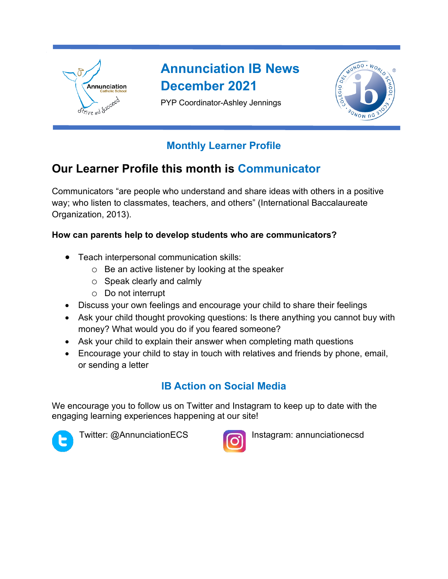

# **Annunciation IB News December 2021**

PYP Coordinator-Ashley Jennings



## **Monthly Learner Profile**

## **Our Learner Profile this month is Communicator**

Communicators "are people who understand and share ideas with others in a positive way; who listen to classmates, teachers, and others" (International Baccalaureate Organization, 2013).

### **How can parents help to develop students who are communicators?**

- Teach interpersonal communication skills:
	- o Be an active listener by looking at the speaker
	- o Speak clearly and calmly
	- o Do not interrupt
- Discuss your own feelings and encourage your child to share their feelings
- Ask your child thought provoking questions: Is there anything you cannot buy with money? What would you do if you feared someone?
- Ask your child to explain their answer when completing math questions
- Encourage your child to stay in touch with relatives and friends by phone, email, or sending a letter

## **IB Action on Social Media**

We encourage you to follow us on Twitter and Instagram to keep up to date with the engaging learning experiences happening at our site!





Twitter: @AnnunciationECS **Instagram: annunciationecsd**